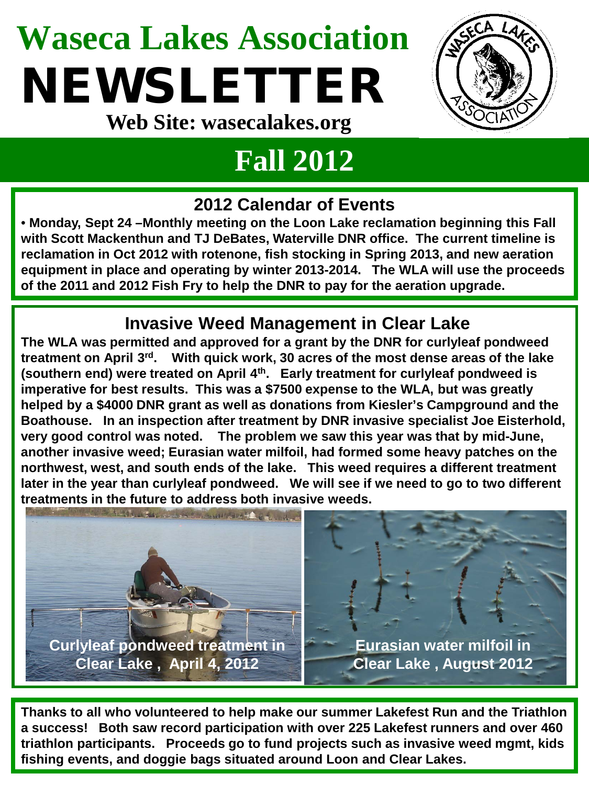## **Waseca Lakes Association** NEWSLETTER **Web Site: wasecalakes.org**



### **Fall 2012**

#### **2012 Calendar of Events**

• **Monday, Sept 24 –Monthly meeting on the Loon Lake reclamation beginning this Fall with Scott Mackenthun and TJ DeBates, Waterville DNR office. The current timeline is reclamation in Oct 2012 with rotenone, fish stocking in Spring 2013, and new aeration equipment in place and operating by winter 2013-2014. The WLA will use the proceeds of the 2011 and 2012 Fish Fry to help the DNR to pay for the aeration upgrade.**

#### **Invasive Weed Management in Clear Lake**

**The WLA was permitted and approved for a grant by the DNR for curlyleaf pondweed treatment on April 3rd. With quick work, 30 acres of the most dense areas of the lake (southern end) were treated on April 4th. Early treatment for curlyleaf pondweed is imperative for best results. This was a \$7500 expense to the WLA, but was greatly helped by a \$4000 DNR grant as well as donations from Kiesler's Campground and the Boathouse. In an inspection after treatment by DNR invasive specialist Joe Eisterhold, very good control was noted. The problem we saw this year was that by mid-June, another invasive weed; Eurasian water milfoil, had formed some heavy patches on the northwest, west, and south ends of the lake. This weed requires a different treatment later in the year than curlyleaf pondweed. We will see if we need to go to two different treatments in the future to address both invasive weeds.**



**Thanks to all who volunteered to help make our summer Lakefest Run and the Triathlon a success! Both saw record participation with over 225 Lakefest runners and over 460 triathlon participants. Proceeds go to fund projects such as invasive weed mgmt, kids fishing events, and doggie bags situated around Loon and Clear Lakes.**